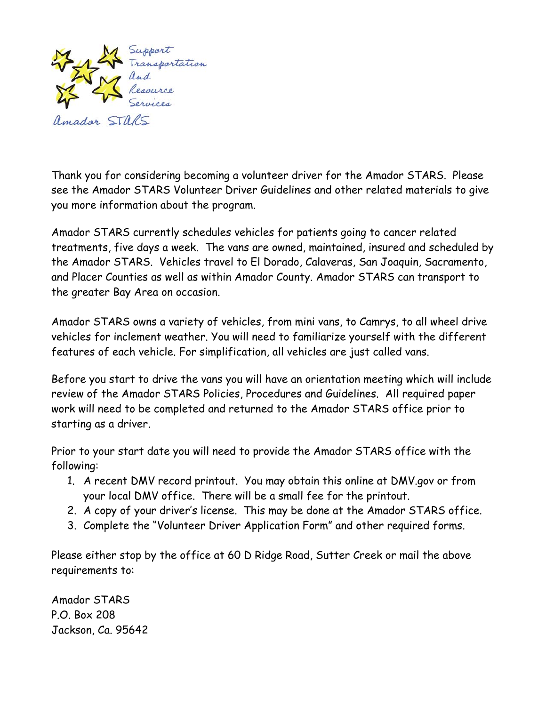

Thank you for considering becoming a volunteer driver for the Amador STARS. Please see the Amador STARS Volunteer Driver Guidelines and other related materials to give you more information about the program.

Amador STARS currently schedules vehicles for patients going to cancer related treatments, five days a week. The vans are owned, maintained, insured and scheduled by the Amador STARS. Vehicles travel to El Dorado, Calaveras, San Joaquin, Sacramento, and Placer Counties as well as within Amador County. Amador STARS can transport to the greater Bay Area on occasion.

Amador STARS owns a variety of vehicles, from mini vans, to Camrys, to all wheel drive vehicles for inclement weather. You will need to familiarize yourself with the different features of each vehicle. For simplification, all vehicles are just called vans.

Before you start to drive the vans you will have an orientation meeting which will include review of the Amador STARS Policies, Procedures and Guidelines. All required paper work will need to be completed and returned to the Amador STARS office prior to starting as a driver.

Prior to your start date you will need to provide the Amador STARS office with the following:

- 1. A recent DMV record printout. You may obtain this online at DMV.gov or from your local DMV office. There will be a small fee for the printout.
- 2. A copy of your driver's license. This may be done at the Amador STARS office.
- 3. Complete the "Volunteer Driver Application Form" and other required forms.

Please either stop by the office at 60 D Ridge Road, Sutter Creek or mail the above requirements to:

Amador STARS P.O. Box 208 Jackson, Ca. 95642